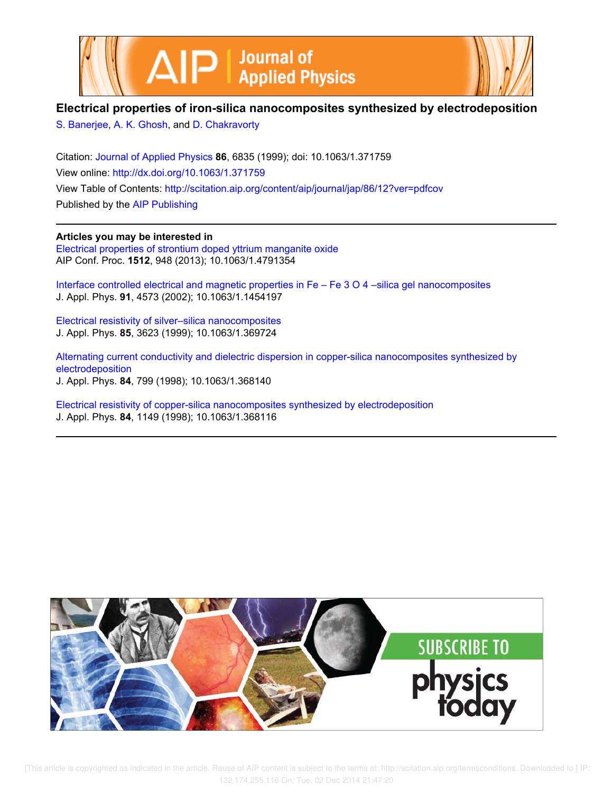



## **Electrical properties of iron-silica nanocomposites synthesized by electrodeposition**

S. Banerjee, A. K. Ghosh, and D. Chakravorty

Citation: Journal of Applied Physics **86**, 6835 (1999); doi: 10.1063/1.371759 View online: http://dx.doi.org/10.1063/1.371759 View Table of Contents: http://scitation.aip.org/content/aip/journal/jap/86/12?ver=pdfcov Published by the AIP Publishing

**Articles you may be interested in** Electrical properties of strontium doped yttrium manganite oxide

AIP Conf. Proc. **1512**, 948 (2013); 10.1063/1.4791354

Interface controlled electrical and magnetic properties in Fe – Fe 3 O 4 –silica gel nanocomposites J. Appl. Phys. **91**, 4573 (2002); 10.1063/1.1454197

Electrical resistivity of silver–silica nanocomposites J. Appl. Phys. **85**, 3623 (1999); 10.1063/1.369724

Alternating current conductivity and dielectric dispersion in copper-silica nanocomposites synthesized by electrodeposition J. Appl. Phys. **84**, 799 (1998); 10.1063/1.368140

Electrical resistivity of copper-silica nanocomposites synthesized by electrodeposition J. Appl. Phys. **84**, 1149 (1998); 10.1063/1.368116

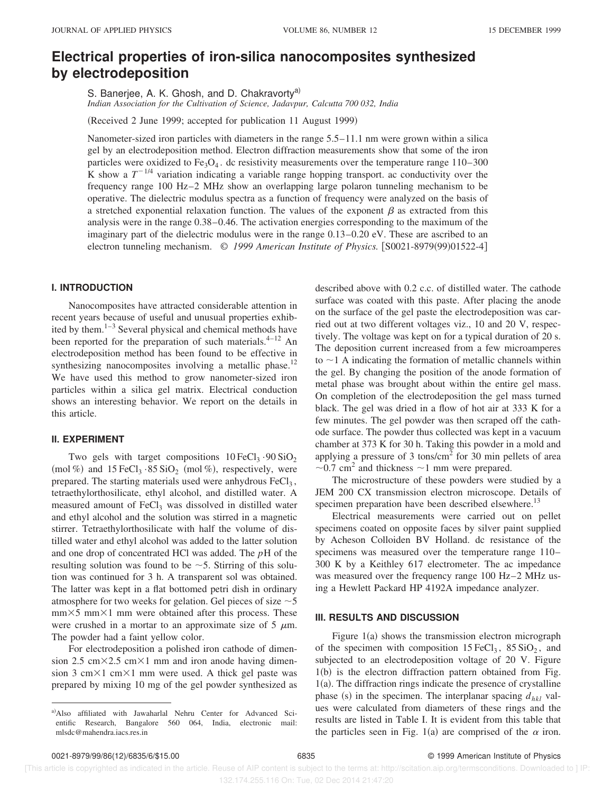# **Electrical properties of iron-silica nanocomposites synthesized by electrodeposition**

S. Banerjee, A. K. Ghosh, and D. Chakravorty<sup>a)</sup> *Indian Association for the Cultivation of Science, Jadavpur, Calcutta 700 032, India*

(Received 2 June 1999; accepted for publication 11 August 1999)

Nanometer-sized iron particles with diameters in the range 5.5–11.1 nm were grown within a silica gel by an electrodeposition method. Electron diffraction measurements show that some of the iron particles were oxidized to  $Fe<sub>3</sub>O<sub>4</sub>$ . dc resistivity measurements over the temperature range 110–300 K show a  $T^{-1/4}$  variation indicating a variable range hopping transport. ac conductivity over the frequency range 100 Hz–2 MHz show an overlapping large polaron tunneling mechanism to be operative. The dielectric modulus spectra as a function of frequency were analyzed on the basis of a stretched exponential relaxation function. The values of the exponent  $\beta$  as extracted from this analysis were in the range 0.38–0.46. The activation energies corresponding to the maximum of the imaginary part of the dielectric modulus were in the range 0.13–0.20 eV. These are ascribed to an electron tunneling mechanism.  $\odot$  1999 American Institute of Physics. [S0021-8979(99)01522-4]

#### **I. INTRODUCTION**

Nanocomposites have attracted considerable attention in recent years because of useful and unusual properties exhibited by them.<sup>1–3</sup> Several physical and chemical methods have been reported for the preparation of such materials. $4-12$  An electrodeposition method has been found to be effective in synthesizing nanocomposites involving a metallic phase.<sup>12</sup> We have used this method to grow nanometer-sized iron particles within a silica gel matrix. Electrical conduction shows an interesting behavior. We report on the details in this article.

#### **II. EXPERIMENT**

Two gels with target compositions  $10 \text{ FeCl}_3 \cdot 90 \text{ SiO}_2$ (mol %) and  $15 \text{ FeCl}_3 \cdot 85 \text{ SiO}_2$  (mol %), respectively, were prepared. The starting materials used were anhydrous  $FeCl<sub>3</sub>$ , tetraethylorthosilicate, ethyl alcohol, and distilled water. A measured amount of  $FeCl<sub>3</sub>$  was dissolved in distilled water and ethyl alcohol and the solution was stirred in a magnetic stirrer. Tetraethylorthosilicate with half the volume of distilled water and ethyl alcohol was added to the latter solution and one drop of concentrated HCl was added. The *p*H of the resulting solution was found to be  $\sim$  5. Stirring of this solution was continued for 3 h. A transparent sol was obtained. The latter was kept in a flat bottomed petri dish in ordinary atmosphere for two weeks for gelation. Gel pieces of size  $\sim$  5  $mm\times5$  mm $\times1$  mm were obtained after this process. These were crushed in a mortar to an approximate size of 5  $\mu$ m. The powder had a faint yellow color.

For electrodeposition a polished iron cathode of dimension 2.5 cm $\times$ 2.5 cm $\times$ 1 mm and iron anode having dimension 3 cm $\times$ 1 cm $\times$ 1 mm were used. A thick gel paste was prepared by mixing 10 mg of the gel powder synthesized as described above with 0.2 c.c. of distilled water. The cathode surface was coated with this paste. After placing the anode on the surface of the gel paste the electrodeposition was carried out at two different voltages viz., 10 and 20 V, respectively. The voltage was kept on for a typical duration of 20 s. The deposition current increased from a few microamperes to  $\sim$  1 A indicating the formation of metallic channels within the gel. By changing the position of the anode formation of metal phase was brought about within the entire gel mass. On completion of the electrodeposition the gel mass turned black. The gel was dried in a flow of hot air at 333 K for a few minutes. The gel powder was then scraped off the cathode surface. The powder thus collected was kept in a vacuum chamber at 373 K for 30 h. Taking this powder in a mold and applying a pressure of 3 tons/ $\text{cm}^2$  for 30 min pellets of area  $\sim$ 0.7 cm<sup>2</sup> and thickness  $\sim$ 1 mm were prepared.

The microstructure of these powders were studied by a JEM 200 CX transmission electron microscope. Details of specimen preparation have been described elsewhere.<sup>13</sup>

Electrical measurements were carried out on pellet specimens coated on opposite faces by silver paint supplied by Acheson Colloiden BV Holland. dc resistance of the specimens was measured over the temperature range 110– 300 K by a Keithley 617 electrometer. The ac impedance was measured over the frequency range 100 Hz–2 MHz using a Hewlett Packard HP 4192A impedance analyzer.

#### **III. RESULTS AND DISCUSSION**

Figure  $1(a)$  shows the transmission electron micrograph of the specimen with composition  $15 \text{ FeCl}_3$ ,  $85 \text{ SiO}_2$ , and subjected to an electrodeposition voltage of 20 V. Figure  $1(b)$  is the electron diffraction pattern obtained from Fig.  $1(a)$ . The diffraction rings indicate the presence of crystalline phase (s) in the specimen. The interplanar spacing  $d_{hkl}$  values were calculated from diameters of these rings and the results are listed in Table I. It is evident from this table that the particles seen in Fig. 1(a) are comprised of the  $\alpha$  iron.

a)Also affiliated with Jawaharlal Nehru Center for Advanced Scientific Research, Bangalore 560 064, India, electronic mail: mlsdc@mahendra.iacs.res.in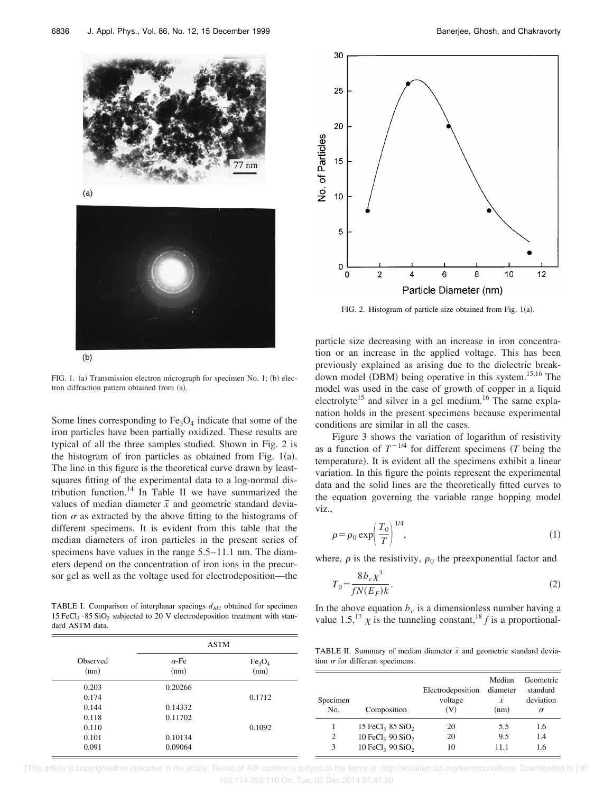

 $(a)$ 



FIG. 1. (a) Transmission electron micrograph for specimen No. 1; (b) electron diffraction pattern obtained from (a).

Some lines corresponding to  $Fe<sub>3</sub>O<sub>4</sub>$  indicate that some of the iron particles have been partially oxidized. These results are typical of all the three samples studied. Shown in Fig. 2 is the histogram of iron particles as obtained from Fig.  $1(a)$ . The line in this figure is the theoretical curve drawn by leastsquares fitting of the experimental data to a log-normal distribution function.<sup>14</sup> In Table II we have summarized the values of median diameter  $\bar{x}$  and geometric standard deviation  $\sigma$  as extracted by the above fitting to the histograms of different specimens. It is evident from this table that the median diameters of iron particles in the present series of specimens have values in the range  $5.5-11.1$  nm. The diameters depend on the concentration of iron ions in the precursor gel as well as the voltage used for electrodeposition—the

TABLE I. Comparison of interplanar spacings *dhkl* obtained for specimen 15 FeCl<sub>3</sub> · 85 SiO<sub>2</sub> subjected to 20 V electrodeposition treatment with standard ASTM data.

| Observed<br>(nm) | <b>ASTM</b>          |                                        |
|------------------|----------------------|----------------------------------------|
|                  | $\alpha$ -Fe<br>(nm) | Fe <sub>3</sub> O <sub>4</sub><br>(nm) |
| 0.203            | 0.20266              |                                        |
| 0.174            |                      | 0.1712                                 |
| 0.144            | 0.14332              |                                        |
| 0.118            | 0.11702              |                                        |
| 0.110            |                      | 0.1092                                 |
| 0.101            | 0.10134              |                                        |
| 0.091            | 0.09064              |                                        |



FIG. 2. Histogram of particle size obtained from Fig.  $1(a)$ .

particle size decreasing with an increase in iron concentration or an increase in the applied voltage. This has been previously explained as arising due to the dielectric breakdown model  $(DBM)$  being operative in this system.<sup>15,16</sup> The model was used in the case of growth of copper in a liquid electrolyte<sup>15</sup> and silver in a gel medium.<sup>16</sup> The same explanation holds in the present specimens because experimental conditions are similar in all the cases.

Figure 3 shows the variation of logarithm of resistivity as a function of  $T^{-1/4}$  for different specimens (*T* being the temperature). It is evident all the specimens exhibit a linear variation. In this figure the points represent the experimental data and the solid lines are the theoretically fitted curves to the equation governing the variable range hopping model viz.,

$$
\rho = \rho_0 \exp\left(\frac{T_0}{T}\right)^{1/4},\tag{1}
$$

where,  $\rho$  is the resistivity,  $\rho_0$  the preexponential factor and

$$
T_0 = \frac{8b_c\chi^3}{fN(E_F)k}.\tag{2}
$$

In the above equation  $b_c$  is a dimensionless number having a value 1.5,<sup>17</sup>  $\chi$  is the tunneling constant,<sup>18</sup>  $f$  is a proportional-

TABLE II. Summary of median diameter  $\bar{x}$  and geometric standard deviation  $\sigma$  for different specimens.

| Specimen<br>No. | Composition                              | Electrodeposition<br>voltage<br>(V) | Median<br>diameter<br>$\mathcal{X}$<br>(nm) | Geometric<br>standard<br>deviation<br>$\sigma$ |
|-----------------|------------------------------------------|-------------------------------------|---------------------------------------------|------------------------------------------------|
|                 | 15 FeCl <sub>3</sub> 85 SiO <sub>2</sub> | 20                                  | 5.5                                         | 1.6                                            |
| 2               | 10 FeCl <sub>3</sub> 90 SiO <sub>2</sub> | 20                                  | 9.5                                         | 1.4                                            |
| 3               | 10 FeCl <sub>3</sub> 90 SiO <sub>2</sub> | 10                                  | 11.1                                        | 16                                             |

 [This article is copyrighted as indicated in the article. Reuse of AIP content is subject to the terms at: http://scitation.aip.org/termsconditions. Downloaded to ] IP: 132.174.255.116 On: Tue, 02 Dec 2014 21:47:20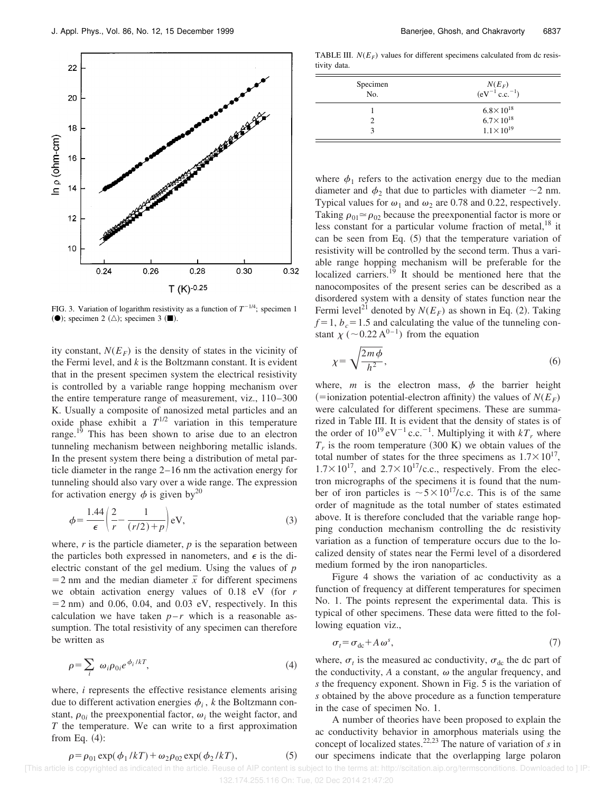

FIG. 3. Variation of logarithm resistivity as a function of  $T^{-1/4}$ ; specimen 1 ( $\bullet$ ); specimen 2  $(\triangle)$ ; specimen 3  $(\blacksquare)$ .

ity constant,  $N(E_F)$  is the density of states in the vicinity of the Fermi level, and *k* is the Boltzmann constant. It is evident that in the present specimen system the electrical resistivity is controlled by a variable range hopping mechanism over the entire temperature range of measurement, viz., 110–300 K. Usually a composite of nanosized metal particles and an oxide phase exhibit a  $T^{1/2}$  variation in this temperature range.<sup>19</sup> This has been shown to arise due to an electron tunneling mechanism between neighboring metallic islands. In the present system there being a distribution of metal particle diameter in the range 2–16 nm the activation energy for tunneling should also vary over a wide range. The expression for activation energy  $\phi$  is given by<sup>20</sup>

$$
\phi = \frac{1.44}{\epsilon} \left( \frac{2}{r} - \frac{1}{(r/2) + p} \right) \text{eV},\tag{3}
$$

where,  $r$  is the particle diameter,  $p$  is the separation between the particles both expressed in nanometers, and  $\epsilon$  is the dielectric constant of the gel medium. Using the values of *p*  $=$  2 nm and the median diameter  $\bar{x}$  for different specimens we obtain activation energy values of  $0.18$  eV (for  $r$  $=$  2 nm) and 0.06, 0.04, and 0.03 eV, respectively. In this calculation we have taken  $p-r$  which is a reasonable assumption. The total resistivity of any specimen can therefore be written as

$$
\rho = \sum_{i} \omega_{i} \rho_{0i} e^{\phi_{i}/kT}, \qquad (4)
$$

where, *i* represents the effective resistance elements arising due to different activation energies  $\phi_i$ , *k* the Boltzmann constant,  $\rho_{0i}$  the preexponential factor,  $\omega_i$  the weight factor, and *T* the temperature. We can write to a first approximation from Eq.  $(4)$ :

TABLE III.  $N(E_F)$  values for different specimens calculated from dc resistivity data.

| Specimen<br>No. | $N(E_F)$<br>(eV <sup>-1</sup> c.c. <sup>-1</sup> ) |
|-----------------|----------------------------------------------------|
|                 | $6.8 \times 10^{18}$                               |
|                 | $6.7 \times 10^{18}$                               |
|                 | $1.1 \times 10^{19}$                               |

where  $\phi_1$  refers to the activation energy due to the median diameter and  $\phi_2$  that due to particles with diameter  $\sim$ 2 nm. Typical values for  $\omega_1$  and  $\omega_2$  are 0.78 and 0.22, respectively. Taking  $\rho_{01} \approx \rho_{02}$  because the preexponential factor is more or less constant for a particular volume fraction of metal, $^{18}$  it can be seen from Eq.  $(5)$  that the temperature variation of resistivity will be controlled by the second term. Thus a variable range hopping mechanism will be preferable for the localized carriers.<sup>19</sup> It should be mentioned here that the nanocomposites of the present series can be described as a disordered system with a density of states function near the Fermi level<sup>21</sup> denoted by  $N(E_F)$  as shown in Eq. (2). Taking  $f=1, b_c=1.5$  and calculating the value of the tunneling constant  $\chi$  (~0.22 A<sup>0–1</sup>) from the equation

$$
\chi = \sqrt{\frac{2m\phi}{h^2}},\tag{6}
$$

where,  $m$  is the electron mass,  $\phi$  the barrier height  $(=ionization potential-electron affinity)$  the values of  $N(E_F)$ were calculated for different specimens. These are summarized in Table III. It is evident that the density of states is of the order of  $10^{19}$  eV<sup>-1</sup> c.c.<sup>-1</sup>. Multiplying it with  $kT_r$  where  $T_r$  is the room temperature  $(300 \text{ K})$  we obtain values of the total number of states for the three specimens as  $1.7 \times 10^{17}$ ,  $1.7\times10^{17}$ , and  $2.7\times10^{17}$ /c.c., respectively. From the electron micrographs of the specimens it is found that the number of iron particles is  $\sim 5 \times 10^{17}$ /c.c. This is of the same order of magnitude as the total number of states estimated above. It is therefore concluded that the variable range hopping conduction mechanism controlling the dc resistivity variation as a function of temperature occurs due to the localized density of states near the Fermi level of a disordered medium formed by the iron nanoparticles.

Figure 4 shows the variation of ac conductivity as a function of frequency at different temperatures for specimen No. 1. The points represent the experimental data. This is typical of other specimens. These data were fitted to the following equation viz.,

$$
\sigma_t = \sigma_{dc} + A \,\omega^s,\tag{7}
$$

where,  $\sigma_t$  is the measured ac conductivity,  $\sigma_{dc}$  the dc part of the conductivity,  $A$  a constant,  $\omega$  the angular frequency, and *s* the frequency exponent. Shown in Fig. 5 is the variation of *s* obtained by the above procedure as a function temperature in the case of specimen No. 1.

A number of theories have been proposed to explain the ac conductivity behavior in amorphous materials using the concept of localized states.22,23 The nature of variation of *s* in our specimens indicate that the overlapping large polaron

$$
\rho = \rho_{01} \exp(\phi_1 / kT) + \omega_2 \rho_{02} \exp(\phi_2 / kT),
$$
 (5)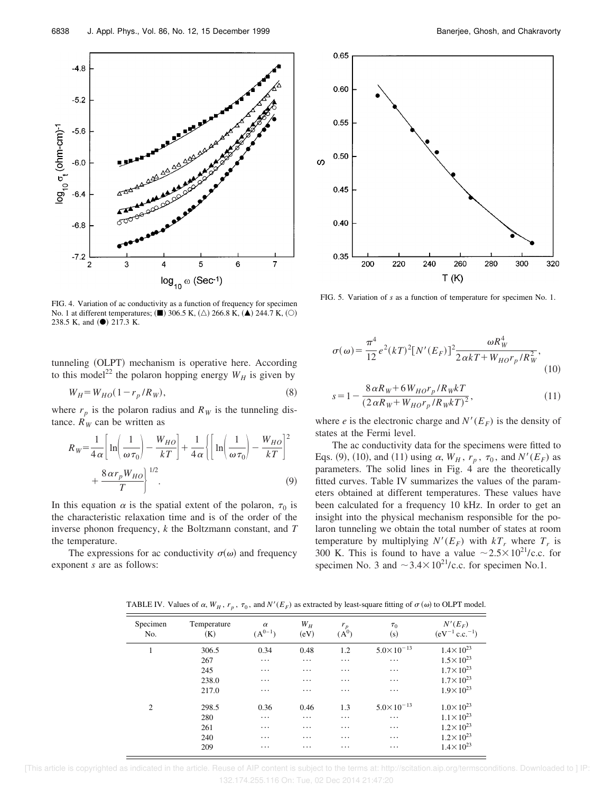

FIG. 4. Variation of ac conductivity as a function of frequency for specimen No. 1 at different temperatures;  $(\blacksquare)$  306.5 K,  $(\triangle)$  266.8 K,  $(\blacktriangle)$  244.7 K,  $(\bigcirc)$ 238.5 K, and (<sup>•</sup>) 217.3 K.

tunneling (OLPT) mechanism is operative here. According to this model<sup>22</sup> the polaron hopping energy  $W_H$  is given by

$$
W_H = W_{HO} (1 - r_p / R_W),
$$
\n(8)

where  $r_p$  is the polaron radius and  $R_W$  is the tunneling distance.  $R_W$  can be written as

$$
R_{W} = \frac{1}{4\alpha} \left[ \ln \left( \frac{1}{\omega \tau_0} \right) - \frac{W_{HO}}{kT} \right] + \frac{1}{4\alpha} \left\{ \left[ \ln \left( \frac{1}{\omega \tau_0} \right) - \frac{W_{HO}}{kT} \right]^2 + \frac{8\alpha r_p W_{HO}}{T} \right\}
$$
(9)

In this equation  $\alpha$  is the spatial extent of the polaron,  $\tau_0$  is the characteristic relaxation time and is of the order of the inverse phonon frequency, *k* the Boltzmann constant, and *T* the temperature.

The expressions for ac conductivity  $\sigma(\omega)$  and frequency exponent *s* are as follows:



FIG. 5. Variation of *s* as a function of temperature for specimen No. 1.

$$
\sigma(\omega) = \frac{\pi^4}{12} e^2 (kT)^2 [N'(E_F)]^2 \frac{\omega R_W^4}{2 \alpha kT + W_{HO} r_p / R_W^2},
$$
\n(10)

$$
s = 1 - \frac{8 \alpha R_W + 6 W_{HO} r_p / R_W kT}{(2 \alpha R_W + W_{HO} r_p / R_W kT)^2},
$$
\n(11)

where *e* is the electronic charge and  $N'(E_F)$  is the density of states at the Fermi level.

The ac conductivity data for the specimens were fitted to Eqs. (9), (10), and (11) using  $\alpha$ ,  $W_H$ ,  $r_p$ ,  $\tau_0$ , and  $N'(E_F)$  as parameters. The solid lines in Fig. 4 are the theoretically fitted curves. Table IV summarizes the values of the parameters obtained at different temperatures. These values have been calculated for a frequency 10 kHz. In order to get an insight into the physical mechanism responsible for the polaron tunneling we obtain the total number of states at room temperature by multiplying  $N'(E_F)$  with  $kT_r$  where  $T_r$  is 300 K. This is found to have a value  $\sim 2.5 \times 10^{21}$ /c.c. for specimen No. 3 and  $\sim$ 3.4 $\times$ 10<sup>21</sup>/c.c. for specimen No.1.

TABLE IV. Values of  $\alpha$ ,  $W_H$ ,  $r_p$ ,  $\tau_0$ , and  $N'(E_F)$  as extracted by least-square fitting of  $\sigma(\omega)$  to OLPT model.

| Specimen<br>No. | Temperature<br>(K) | $\alpha$<br>$(A^{0-1})$ | $W_H$<br>(eV) | $\frac{r_p}{(A^0)}$ | $\tau_0$<br>(s)       | $N'(E_F)$<br>$(eV^{-1} c.c.^{-1})$ |
|-----------------|--------------------|-------------------------|---------------|---------------------|-----------------------|------------------------------------|
| 1               | 306.5              | 0.34                    | 0.48          | 1.2                 | $5.0 \times 10^{-13}$ | $1.4 \times 10^{23}$               |
|                 | 267                | $\cdots$                | $\ddotsc$     | $\ddots$            | $\cdots$              | $1.5 \times 10^{23}$               |
|                 | 245                | $\cdots$                | $\cdots$      | $\cdots$            | $\cdots$              | $1.7 \times 10^{23}$               |
|                 | 238.0              | $\cdots$                | $\cdots$      | $\cdots$            | $\cdots$              | $1.7 \times 10^{23}$               |
|                 | 217.0              | $\cdots$                | $\cdots$      | $\cdots$            | $\cdots$              | $1.9 \times 10^{23}$               |
| 2               | 298.5              | 0.36                    | 0.46          | 1.3                 | $5.0 \times 10^{-13}$ | $1.0 \times 10^{23}$               |
|                 | 280                | $\cdots$                | $\ddots$      | $\ddotsc$           | $\cdots$              | $1.1 \times 10^{23}$               |
|                 | 261                | $\cdots$                | $\cdots$      | $\cdots$            | $\cdots$              | $1.2 \times 10^{23}$               |
|                 | 240                | $\cdots$                | $\cdots$      | $\cdots$            | $\cdots$              | $1.2 \times 10^{23}$               |
|                 | 209                | $\cdots$                | $\cdots$      | $\cdots$            | $\ddots$              | $1.4 \times 10^{23}$               |

 [This article is copyrighted as indicated in the article. Reuse of AIP content is subject to the terms at: http://scitation.aip.org/termsconditions. Downloaded to ] IP: 132.174.255.116 On: Tue, 02 Dec 2014 21:47:20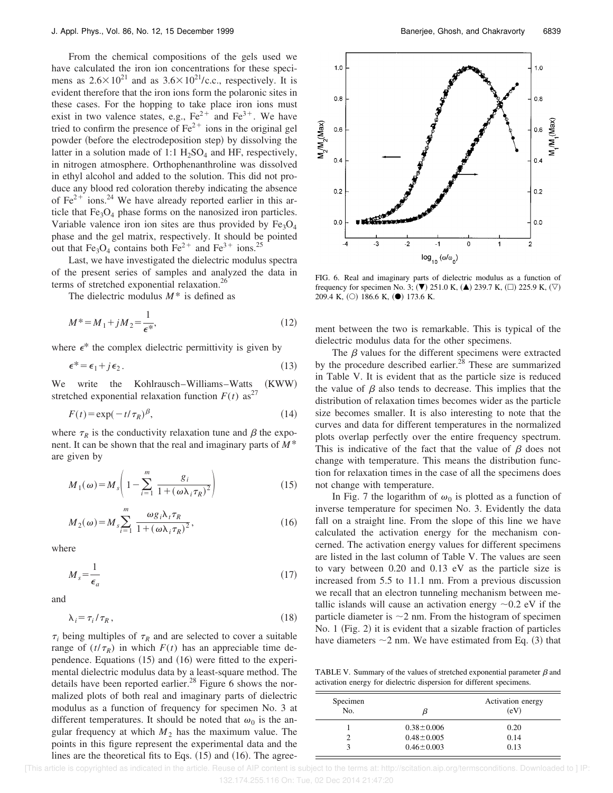From the chemical compositions of the gels used we have calculated the iron ion concentrations for these specimens as  $2.6 \times 10^{21}$  and as  $3.6 \times 10^{21}$ /c.c., respectively. It is evident therefore that the iron ions form the polaronic sites in these cases. For the hopping to take place iron ions must exist in two valence states, e.g.,  $Fe^{2+}$  and  $Fe^{3+}$ . We have tried to confirm the presence of  $\text{Fe}^{2+}$  ions in the original gel powder (before the electrodeposition step) by dissolving the latter in a solution made of 1:1  $H_2SO_4$  and HF, respectively, in nitrogen atmosphere. Orthophenanthroline was dissolved in ethyl alcohol and added to the solution. This did not produce any blood red coloration thereby indicating the absence of  $Fe^{2+}$  ions.<sup>24</sup> We have already reported earlier in this article that  $Fe<sub>3</sub>O<sub>4</sub>$  phase forms on the nanosized iron particles. Variable valence iron ion sites are thus provided by  $Fe<sub>3</sub>O<sub>4</sub>$ phase and the gel matrix, respectively. It should be pointed out that Fe<sub>3</sub>O<sub>4</sub> contains both Fe<sup>2+</sup> and Fe<sup>3+</sup> ions.<sup>25</sup>

Last, we have investigated the dielectric modulus spectra of the present series of samples and analyzed the data in terms of stretched exponential relaxation.<sup>26</sup>

The dielectric modulus *M*\* is defined as

$$
M^* = M_1 + jM_2 = \frac{1}{\epsilon^*},\tag{12}
$$

where  $\epsilon^*$  the complex dielectric permittivity is given by

$$
\epsilon^* = \epsilon_1 + j\epsilon_2. \tag{13}
$$

We write the Kohlrausch–Williams–Watts (KWW) stretched exponential relaxation function  $F(t)$  as<sup>27</sup>

$$
F(t) = \exp(-t/\tau_R)^{\beta},\tag{14}
$$

where  $\tau_R$  is the conductivity relaxation tune and  $\beta$  the exponent. It can be shown that the real and imaginary parts of *M*\* are given by

$$
M_1(\omega) = M_s \left( 1 - \sum_{i=1}^m \frac{g_i}{1 + (\omega \lambda_i \tau_R)^2} \right) \tag{15}
$$

$$
M_2(\omega) = M_s \sum_{i=1}^m \frac{\omega g_i \lambda_i \tau_R}{1 + (\omega \lambda_i \tau_R)^2},
$$
\n(16)

where

$$
M_s = \frac{1}{\epsilon_a} \tag{17}
$$

and

$$
\lambda_i = \tau_i / \tau_R, \qquad (18)
$$

 $\tau_i$  being multiples of  $\tau_R$  and are selected to cover a suitable range of  $(t/\tau_R)$  in which  $F(t)$  has an appreciable time dependence. Equations  $(15)$  and  $(16)$  were fitted to the experimental dielectric modulus data by a least-square method. The details have been reported earlier.<sup>28</sup> Figure 6 shows the normalized plots of both real and imaginary parts of dielectric modulus as a function of frequency for specimen No. 3 at different temperatures. It should be noted that  $\omega_0$  is the angular frequency at which  $M_2$  has the maximum value. The points in this figure represent the experimental data and the lines are the theoretical fits to Eqs.  $(15)$  and  $(16)$ . The agree-



FIG. 6. Real and imaginary parts of dielectric modulus as a function of frequency for specimen No. 3; ( $\nabla$ ) 251.0 K, ( $\triangle$ ) 239.7 K, ( $\square$ ) 225.9 K, ( $\nabla$ ) 209.4 K, (O) 186.6 K, (<sup> $\bullet$ </sup>) 173.6 K.

ment between the two is remarkable. This is typical of the dielectric modulus data for the other specimens.

The  $\beta$  values for the different specimens were extracted by the procedure described earlier.<sup>28</sup> These are summarized in Table V. It is evident that as the particle size is reduced the value of  $\beta$  also tends to decrease. This implies that the distribution of relaxation times becomes wider as the particle size becomes smaller. It is also interesting to note that the curves and data for different temperatures in the normalized plots overlap perfectly over the entire frequency spectrum. This is indicative of the fact that the value of  $\beta$  does not change with temperature. This means the distribution function for relaxation times in the case of all the specimens does not change with temperature.

In Fig. 7 the logarithm of  $\omega_0$  is plotted as a function of inverse temperature for specimen No. 3. Evidently the data fall on a straight line. From the slope of this line we have calculated the activation energy for the mechanism concerned. The activation energy values for different specimens are listed in the last column of Table V. The values are seen to vary between 0.20 and 0.13 eV as the particle size is increased from 5.5 to 11.1 nm. From a previous discussion we recall that an electron tunneling mechanism between metallic islands will cause an activation energy  $\sim 0.2$  eV if the particle diameter is  $\sim$ 2 nm. From the histogram of specimen No. 1  $(Fig. 2)$  it is evident that a sizable fraction of particles have diameters  $\sim$  2 nm. We have estimated from Eq. (3) that

TABLE V. Summary of the values of stretched exponential parameter  $\beta$  and activation energy for dielectric dispersion for different specimens.

| Specimen<br>No. |                  | Activation energy<br>(eV) |
|-----------------|------------------|---------------------------|
|                 | $0.38 \pm 0.006$ | 0.20                      |
|                 | $0.48 \pm 0.005$ | 0.14                      |
|                 | $0.46 \pm 0.003$ | 0.13                      |
|                 |                  |                           |